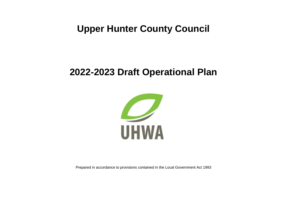# **Upper Hunter County Council**

# **2022-2023 Draft Operational Plan**



Prepared in accordance to provisions contained in the Local Government Act 1993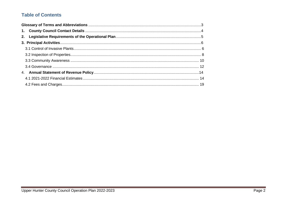## **Table of Contents**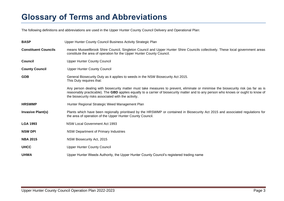# <span id="page-2-0"></span>**Glossary of Terms and Abbreviations**

The following definitions and abbreviations are used in the Upper Hunter County Council Delivery and Operational Plan:

| <b>BASP</b>                 | Upper Hunter County Council Business Activity Strategic Plan                                                                                                                                                                                                                                                                     |
|-----------------------------|----------------------------------------------------------------------------------------------------------------------------------------------------------------------------------------------------------------------------------------------------------------------------------------------------------------------------------|
| <b>Constituent Councils</b> | means Muswellbrook Shire Council, Singleton Council and Upper Hunter Shire Councils collectively. These local government areas<br>constitute the area of operation for the Upper Hunter County Council.                                                                                                                          |
| <b>Council</b>              | <b>Upper Hunter County Council</b>                                                                                                                                                                                                                                                                                               |
| <b>County Council</b>       | <b>Upper Hunter County Council</b>                                                                                                                                                                                                                                                                                               |
| <b>GDB</b>                  | General Biosecurity Duty as it applies to weeds in the NSW Biosecurity Act 2015.<br>This Duty requires that:                                                                                                                                                                                                                     |
|                             | Any person dealing with biosecurity matter must take measures to prevent, eliminate or minimise the biosecurity risk (as far as is<br>reasonably practicable). The GBD applies equally to a carrier of biosecurity matter and to any person who knows or ought to know of<br>the biosecurity risks associated with the activity. |
| <b>HRSWMP</b>               | Hunter Regional Strategic Weed Management Plan                                                                                                                                                                                                                                                                                   |
| <b>Invasive Plant(s)</b>    | Plants which have been regionally prioritised by the HRSWMP or contained in Biosecurity Act 2015 and associated regulations for<br>the area of operation of the Upper Hunter County Council.                                                                                                                                     |
| <b>LGA 1993</b>             | <b>NSW Local Government Act 1993</b>                                                                                                                                                                                                                                                                                             |
| <b>NSW DPI</b>              | NSW Department of Primary Industries                                                                                                                                                                                                                                                                                             |
| <b>NBA 2015</b>             | NSW Biosecurity Act, 2015                                                                                                                                                                                                                                                                                                        |
| <b>UHCC</b>                 | <b>Upper Hunter County Council</b>                                                                                                                                                                                                                                                                                               |
| <b>UHWA</b>                 | Upper Hunter Weeds Authority, the Upper Hunter County Council's registered trading name                                                                                                                                                                                                                                          |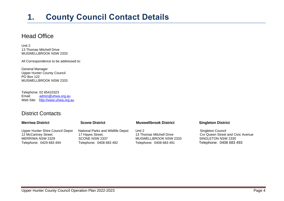# <span id="page-3-0"></span>**1. County Council Contact Details**

## Head Office

Unit 2 13 Thomas Mitchell Drive MUSWELLBROOK NSW 2333

All Correspondence to be addressed to:

General Manager Upper Hunter County Council PO Box 122 MUSWELLBROOK NSW 2333

Telephone: 02 65410323<br>Email: admin@uhwa [admin@uhwa.org.au](mailto:admin@uhwa.org.au) Web Site: [http://www.uhwa.org.au](http://www.uhwa.org.au/)

## District Contacts

| <b>Scone District</b>             | <b>Muswellbrook District</b> | <b>Singleton District</b>                |
|-----------------------------------|------------------------------|------------------------------------------|
| National Parks and Wildlife Depot | Unit 2                       | Singleton Council                        |
| 17 Hayes Street.                  | 13 Thomas Mitchell Drive     | <b>Cnr Queen Street and Civic Avenue</b> |
| SCONE NSW 2337                    | MUSWELLBROOK NSW 2333        | SINGLETON NSW 2330                       |
| Telephone: 0408 683 492           | Telephone: 0408 683 491      | Telephone: 0408 683 493                  |
|                                   |                              |                                          |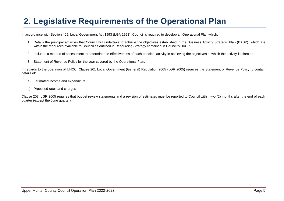# <span id="page-4-0"></span>**2. Legislative Requirements of the Operational Plan**

In accordance with Section 405, Local Government Act 1993 (LGA 1993), Council is required to develop an Operational Plan which:

- 1. Details the principal activities that Council will undertake to achieve the objectives established in the Business Activity Strategic Plan (BASP), which are within the resources available to Council as outlined in Resourcing Strategy contained in Council's BASP.
- 2. Includes a method of assessment to determine the effectiveness of each principal activity in achieving the objectives at which the activity is directed.
- 3. Statement of Revenue Policy for the year covered by the Operational Plan.

In regards to the operation of UHCC, Clause 201 Local Government (General) Regulation 2005 (LGR 2005) requires the Statement of Revenue Policy to contain details of:

- a) Estimated income and expenditure
- b) Proposed rates and charges

Clause 203, LGR 2005 requires that budget review statements and a revision of estimates must be reported to Council within two (2) months after the end of each quarter (except the June quarter).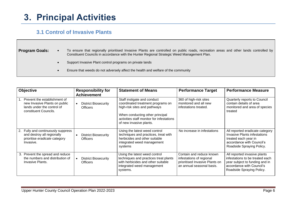# <span id="page-5-0"></span>**3. Principal Activities**

## <span id="page-5-1"></span> **3.1 Control of Invasive Plants**

| <b>Program Goals:</b> | To ensure that regionally prioritised Invasive Plants are controlled on public roads, recreation areas and other lands controlled by<br>Constituent Councils in accordance with the Hunter Regional Strategic Weed Management Plan. |
|-----------------------|-------------------------------------------------------------------------------------------------------------------------------------------------------------------------------------------------------------------------------------|
|                       | Support Invasive Plant control programs on private lands                                                                                                                                                                            |
|                       | Ensure that weeds do not adversely affect the health and welfare of the community                                                                                                                                                   |

| <b>Objective</b>                                                                                                     | <b>Responsibility for</b><br><b>Achievement</b>             | <b>Statement of Means</b>                                                                                                                                                                                   | <b>Performance Target</b>                                                                                           | <b>Performance Measure</b>                                                                                                                                  |
|----------------------------------------------------------------------------------------------------------------------|-------------------------------------------------------------|-------------------------------------------------------------------------------------------------------------------------------------------------------------------------------------------------------------|---------------------------------------------------------------------------------------------------------------------|-------------------------------------------------------------------------------------------------------------------------------------------------------------|
| Prevent the establishment of<br>new Invasive Plants on public<br>lands under the control of<br>constituent Councils. | <b>District Biosecurity</b><br>$\bullet$<br><b>Officers</b> | Staff instigate and conduct<br>coordinated treatment programs on<br>high-risk sites and pathways<br>When conducting other principal<br>activities staff monitor for infestations<br>of new invasive plants. | 360 of high-risk sites<br>monitored and all new<br>infestations treated.                                            | Quarterly reports to Council<br>contain details of area<br>monitored and area of species<br>treated                                                         |
| 2. Fully and continuously suppress<br>and destroy all regionally<br>prioritise eradicate category<br>Invasive.       | <b>District Biosecurity</b><br>$\bullet$<br><b>Officers</b> | Using the latest weed control<br>techniques and practices, treat with<br>herbicides and other suitable<br>integrated weed management<br>systems                                                             | No increase in infestations                                                                                         | All reported eradicate category<br>Invasive Plants infestations<br>treated each year in<br>accordance with Council's<br>Roadside Spraying Policy.           |
| 3. Prevent the spread and reduce<br>the numbers and distribution of<br>Invasive Plants.                              | <b>District Biosecurity</b><br><b>Officers</b>              | Using the latest weed control<br>techniques and practices treat plants<br>with herbicides and other suitable<br>integrated weed management<br>systems.                                                      | Contain and reduce known<br>infestations of regional<br>prioritised Invasive Plants on<br>an annual seasonal basis. | All reported invasive plants<br>infestations to be treated each<br>year subject to funding and in<br>accordance with Council's<br>Roadside Spraying Policy. |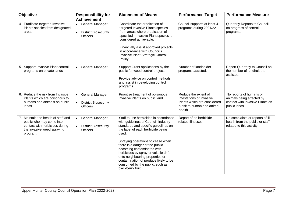| Objective                                                                                                                                   | <b>Responsibility for</b><br><b>Achievement</b>                                                    | <b>Statement of Means</b>                                                                                                                                                                                                                                                                                                                                                                                                                              | <b>Performance Target</b>                                                                                                | <b>Performance Measure</b>                                                                               |
|---------------------------------------------------------------------------------------------------------------------------------------------|----------------------------------------------------------------------------------------------------|--------------------------------------------------------------------------------------------------------------------------------------------------------------------------------------------------------------------------------------------------------------------------------------------------------------------------------------------------------------------------------------------------------------------------------------------------------|--------------------------------------------------------------------------------------------------------------------------|----------------------------------------------------------------------------------------------------------|
| 4. Eradicate targeted Invasive<br>Plants species from designated<br>areas                                                                   | <b>General Manager</b><br>$\bullet$<br><b>District Biosecurity</b><br>$\bullet$<br><b>Officers</b> | Coordinate the eradication of<br>targeted Invasive Plants species<br>from areas where eradication of<br>specified Invasive Plant species is<br>considered achievable.<br>Financially assist approved projects<br>in accordance with Council's<br>Invasive Plant Strategic Control<br>Policy.                                                                                                                                                           | Council supports at least 4<br>programs during 2021/22                                                                   | Quarterly Reports to Council<br>on progress of control<br>programs.                                      |
| 5. Support Invasive Plant control<br>programs on private lands                                                                              | <b>General Manager</b><br>$\bullet$                                                                | Support Grant applications by the<br>public for weed control projects.<br>Provide advice on control methods<br>and assist in developing control<br>programs                                                                                                                                                                                                                                                                                            | Number of landholder<br>programs assisted.                                                                               | Report Quarterly to Council on<br>the number of landholders<br>assisted.                                 |
| 6. Reduce the risk from Invasive<br>Plants which are poisonous to<br>humans and animals on public<br>lands.                                 | <b>General Manager</b><br>$\bullet$<br><b>District Biosecurity</b><br>$\bullet$<br><b>Officers</b> | Prioritise treatment of poisonous<br>Invasive Plants on public land.                                                                                                                                                                                                                                                                                                                                                                                   | Reduce the extent of<br>infestations of Invasive<br>Plants which are considered<br>a risk to human and animal<br>health. | No reports of humans or<br>animals being affected by<br>contact with Invasive Plants on<br>public lands. |
| 7. Maintain the health of staff and<br>public who may come into<br>contact with herbicides during<br>the invasive weed spraying<br>program. | <b>General Manager</b><br>$\bullet$<br><b>District Biosecurity</b><br>$\bullet$<br><b>Officers</b> | Staff to use herbicides in accordance<br>with guidelines of Council, industry<br>standards and specific guidelines on<br>the label of each herbicide being<br>used.<br>Spraying operations to cease when<br>there is a danger of the public<br>becoming contaminated with<br>herbicides by spray or volatile drift<br>onto neighbouring properties or<br>contamination of produce likely to be<br>consumed by the public, such as<br>blackberry fruit. | Report of no herbicide<br>related illnesses.                                                                             | No complaints or reports of ill<br>health from the public or staff<br>related to this activity.          |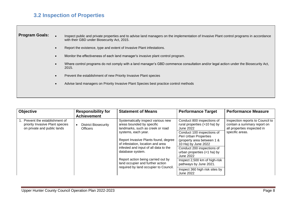## <span id="page-7-0"></span>**3.2 Inspection of Properties**

**Program Goals:** • Inspect public and private properties and to advise land managers on the implementation of Invasive Plant control programs in accordance with their GBD under Biosecurity Act, 2015.

- Report the existence, type and extent of Invasive Plant infestations.
- Monitor the effectiveness of each land manager's invasive plant control program.
- Where control programs do not comply with a land manager's GBD commence consultation and/or legal action under the Biosecurity Act, 2015.
- Prevent the establishment of new Priority Invasive Plant species
- Advise land managers on Priority Invasive Plant Species best practice control methods

| <b>Objective</b>                                                                                 | <b>Responsibility for</b><br><b>Achievement</b> | <b>Statement of Means</b>                                                                                                                                                                                                                                 | <b>Performance Target</b>                                               | <b>Performance Measure</b>                                                                     |
|--------------------------------------------------------------------------------------------------|-------------------------------------------------|-----------------------------------------------------------------------------------------------------------------------------------------------------------------------------------------------------------------------------------------------------------|-------------------------------------------------------------------------|------------------------------------------------------------------------------------------------|
| . Prevent the establishment of<br>priority Invasive Plant species<br>on private and public lands | <b>District Biosecurity</b><br><b>Officers</b>  | Systematically inspect various new<br>areas bounded by specific<br>landmarks, such as creek or road                                                                                                                                                       | Conduct 800 inspections of<br>rural properties (>10 ha) by<br>June 2022 | Inspection reports to Council to<br>contain a summary report on<br>all properties inspected in |
|                                                                                                  |                                                 | systems, each year.                                                                                                                                                                                                                                       | Conduct 100 inspections of<br>Peri Urban Properties                     | specific areas.                                                                                |
|                                                                                                  |                                                 | Report Invasive Plants found, degree<br>of infestation, location and area<br>infested and input of all data to the<br>database system.<br>Report action being carried out by<br>land occupier and further action<br>required by land occupier to Council. | (property area between 1 &<br>10 Ha) by June 2022                       |                                                                                                |
|                                                                                                  |                                                 |                                                                                                                                                                                                                                                           | Conduct 200 inspections of<br>urban properties (<1 ha) by<br>June 2022  |                                                                                                |
|                                                                                                  |                                                 |                                                                                                                                                                                                                                                           | Inspect 2,500 km of high-risk<br>pathways by June 2021.                 |                                                                                                |
|                                                                                                  |                                                 |                                                                                                                                                                                                                                                           | Inspect 360 high risk sites by<br>June 2022                             |                                                                                                |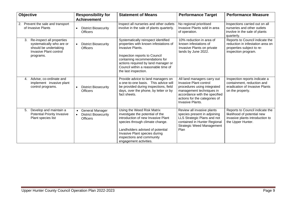| Objective                                                                                                                           | <b>Responsibility for</b><br><b>Achievement</b>                                       | <b>Statement of Means</b>                                                                                                                                                                                                                                                        | <b>Performance Target</b>                                                                                                                                                                              | <b>Performance Measure</b>                                                                                              |
|-------------------------------------------------------------------------------------------------------------------------------------|---------------------------------------------------------------------------------------|----------------------------------------------------------------------------------------------------------------------------------------------------------------------------------------------------------------------------------------------------------------------------------|--------------------------------------------------------------------------------------------------------------------------------------------------------------------------------------------------------|-------------------------------------------------------------------------------------------------------------------------|
| 2. Prevent the sale and transport<br>of Invasive Plants                                                                             | <b>District Biosecurity</b><br>$\bullet$<br><b>Officers</b>                           | Inspect all nurseries and other outlets<br>involve in the sale of plants quarterly.                                                                                                                                                                                              | No regional prioritised<br>Invasive Plants sold in area<br>of operation.                                                                                                                               | Inspections carried out on all<br>nurseries and other outlets<br>involve in the sale of plants<br>quarterly.            |
| Re-inspect all properties<br>3.<br>systematically who are or<br>should be undertaking<br><b>Invasive Plant control</b><br>programs. | <b>District Biosecurity</b><br>$\bullet$<br><b>Officers</b>                           | Systematically reinspect identified<br>properties with known infestations of<br><b>Invasive Plants.</b><br>Inspection reports to Council<br>containing recommendations for<br>actions required by land manager or<br>Council within a reasonable time of<br>the last inspection. | 10% reduction in area of<br>known infestations of<br>Invasive Plants on private<br>lands by June 2022.                                                                                                 | Reports to Council indicate the<br>reduction in infestation area on<br>properties subject to re-<br>inspection program. |
| Advise, co-ordinate and<br>4.<br>implement invasive plant<br>control programs.                                                      | <b>District Biosecurity</b><br>$\bullet$<br><b>Officers</b>                           | Provide advice to land managers on<br>a one-to-one basis. This advice will<br>be provided during inspections, field<br>days, over the phone, by letter or by<br>fact sheets.                                                                                                     | All land managers carry out<br>Invasive Plant control<br>procedures using integrated<br>management techniques in<br>accordance with the specified<br>actions for the categories of<br>Invasive Plants. | Inspection reports indicate a<br>containment, reduction and<br>eradication of Invasive Plants<br>on the property.       |
| Develop and maintain a<br>5.<br>Potential Priority Invasive<br>Plant species list                                                   | <b>General Manager</b><br><b>District Biosecurity</b><br>$\bullet$<br><b>Officers</b> | Using the Weed Risk Matrix<br>investigate the potential of the<br>introduction of new Invasive Plant<br>species through climate change.<br>Landholders advised of potential<br>Invasive Plant species during<br>inspections and community<br>engagement activities.              | Review all invasive plants<br>species present in adjoining<br>LLS Strategic Plans and not<br>contained in Hunter Regional<br><b>Strategic Weed Management</b><br>Plan                                  | Reports to Council indicate the<br>likelihood of potential new<br>invasive plants introduction to<br>the Upper Hunter.  |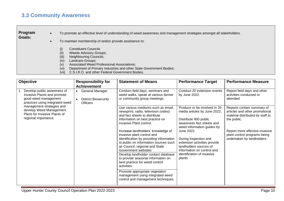## <span id="page-9-0"></span>**3.3 Community Awareness**

#### **Program Goals:**

• To promote an effective level of understanding of weed awareness and management strategies amongst all stakeholders.

- To maintain membership of and/or provide assistance to:
	- (i) Constituent Councils (ii) Weeds Advisory Groups;
	-
	- (iii) Neighbouring Councils;<br>(iv) Landcare Groups; Landcare Groups;
	- (v) Associated Weed Professional Associations;
	- (vi) Department of Primary Industries and other State Government Bodies;
	- (vii) C.S.I.R.O. and other Federal Government Bodies.

| <b>Objective</b>                                                                                                      | <b>Responsibility for</b><br><b>Achievement</b>                                             | <b>Statement of Means</b>                                                                                                                                                                                                                                                                                                                                                                                                                                                                                                                                                                                                            | <b>Performance Target</b>                                                                                                                                                                                                                                                                                               | <b>Performance Measure</b>                                                                                                                                                                                      |
|-----------------------------------------------------------------------------------------------------------------------|---------------------------------------------------------------------------------------------|--------------------------------------------------------------------------------------------------------------------------------------------------------------------------------------------------------------------------------------------------------------------------------------------------------------------------------------------------------------------------------------------------------------------------------------------------------------------------------------------------------------------------------------------------------------------------------------------------------------------------------------|-------------------------------------------------------------------------------------------------------------------------------------------------------------------------------------------------------------------------------------------------------------------------------------------------------------------------|-----------------------------------------------------------------------------------------------------------------------------------------------------------------------------------------------------------------|
| Develop public awareness of<br>Invasive Plants and promote<br>good weed management<br>practices using integrated weed | General Manager<br>$\bullet$<br><b>District Biosecurity</b><br>$\bullet$<br><b>Officers</b> | Conduct field days, seminars and<br>weed walks, speak at various farmer<br>or community group meetings.                                                                                                                                                                                                                                                                                                                                                                                                                                                                                                                              | Conduct 20 extension events<br>by June 2022.                                                                                                                                                                                                                                                                            | Report field days and other<br>activities conducted or<br>attended                                                                                                                                              |
| management strategies and<br>develop Weed Management<br>Plans for Invasive Plants of<br>regional importance.          |                                                                                             | Use various mediums such as email,<br>newsprint, radio, television (video)<br>and fact sheets to distribute<br>information on best practice on<br>Invasive Plant control.<br>Increase landholders' knowledge of<br>invasive plant control and<br>identification by providing information<br>to public on information sources such<br>as Council, regional and State<br>Government websites<br>Develop landholder contact database<br>to provide seasonal information on<br>best practice for weed control<br>activities.<br>Promote appropriate vegetation<br>management using integrated weed<br>control and management techniques. | Produce or be involved in 20<br>media articles by June 2022.<br>Distribute 900 public<br>awareness fact sheets and<br>weed information guides by<br>June 2022.<br>During inspection and<br>extension activities provide<br>landholders sources of<br>information on control and<br>identification of invasive<br>plants | Reports contain summary of<br>articles and other promotional<br>material distributed by staff to<br>the public.<br>Report more effective invasive<br>plant control programs being<br>undertaken by landholders. |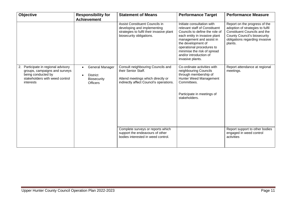| <b>Objective</b>                                                                                                                          | <b>Responsibility for</b><br><b>Achievement</b>                                                 | <b>Statement of Means</b>                                                                                                                | <b>Performance Target</b>                                                                                                                                                                                                                                                                  | <b>Performance Measure</b>                                                                                                                                                                   |
|-------------------------------------------------------------------------------------------------------------------------------------------|-------------------------------------------------------------------------------------------------|------------------------------------------------------------------------------------------------------------------------------------------|--------------------------------------------------------------------------------------------------------------------------------------------------------------------------------------------------------------------------------------------------------------------------------------------|----------------------------------------------------------------------------------------------------------------------------------------------------------------------------------------------|
|                                                                                                                                           |                                                                                                 | Assist Constituent Councils in<br>developing and implementing<br>strategies to fulfil their invasive plant<br>biosecurity obligations.   | Initiate consultation with<br>relevant staff of Constituent<br>Councils to define the role of<br>each entity in invasive plant<br>management and assist in<br>the development of<br>operational procedures to<br>minimise the risk of spread<br>and/or introduction of<br>invasive plants. | Report on the progress of the<br>adoption of strategies to fulfil<br><b>Constituent Councils and the</b><br><b>County Council's biosecurity</b><br>obligations regarding invasive<br>plants. |
| 2. Participate in regional advisory<br>groups, campaigns and surveys<br>being conducted by<br>stakeholders with weed control<br>interests | <b>General Manager</b><br>$\bullet$<br><b>District</b><br><b>Biosecurity</b><br><b>Officers</b> | Consult neighbouring Councils and<br>their Senior Staff.<br>Attend meetings which directly or<br>indirectly affect Council's operations. | Co-ordinate activities with<br>neighbouring Councils<br>through membership of<br>Hunter Weed Management<br>Committees.<br>Participate in meetings of<br>stakeholders.                                                                                                                      | Report attendance at regional<br>meetings.                                                                                                                                                   |
|                                                                                                                                           |                                                                                                 |                                                                                                                                          |                                                                                                                                                                                                                                                                                            |                                                                                                                                                                                              |
|                                                                                                                                           |                                                                                                 | Complete surveys or reports which<br>support the endeavours of other<br>bodies interested in weed control.                               |                                                                                                                                                                                                                                                                                            | Report support to other bodies<br>engaged in weed control<br>activities                                                                                                                      |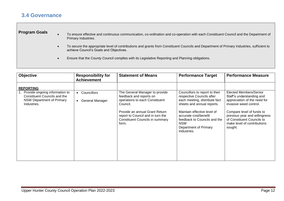## <span id="page-11-0"></span>**3.4 Governance**

### **Program Goals**

- To ensure effective and continuous communication, co-ordination and co-operation with each Constituent Council and the Department of Primary Industries.
- To secure the appropriate level of contributions and grants from Constituent Councils and Department of Primary Industries, sufficient to achieve Council's Goals and Objectives.
- Ensure that the County Council complies with its Legislative Reporting and Planning obligations.

| <b>Objective</b>                                                                                              | <b>Responsibility for</b><br><b>Achievement</b>          | <b>Statement of Means</b>                                                                                                                                                                                                         | <b>Performance Target</b>                                                                                                                                                                                                                                 | <b>Performance Measure</b>                                                                                                                                                                                                                          |
|---------------------------------------------------------------------------------------------------------------|----------------------------------------------------------|-----------------------------------------------------------------------------------------------------------------------------------------------------------------------------------------------------------------------------------|-----------------------------------------------------------------------------------------------------------------------------------------------------------------------------------------------------------------------------------------------------------|-----------------------------------------------------------------------------------------------------------------------------------------------------------------------------------------------------------------------------------------------------|
| <b>REPORTING</b>                                                                                              |                                                          |                                                                                                                                                                                                                                   |                                                                                                                                                                                                                                                           |                                                                                                                                                                                                                                                     |
| 1. Provide ongoing information to<br>Constituent Councils and the<br>NSW Department of Primary<br>Industries. | Councillors<br>$\bullet$<br>General Manager<br>$\bullet$ | The General Manager to provide<br>feedback and reports on<br>operations to each Constituent<br>Council.<br>Provide an annual Grant Return<br>report to Council and in turn the<br><b>Constituent Councils in summary</b><br>form. | Councillors to report to their<br>respective Councils after<br>each meeting, distribute fact<br>sheets and annual reports.<br>Maintain effective level of<br>accurate cost/benefit<br>feedback to Councils and the<br><b>NSW</b><br>Department of Primary | Elected Members/Senior<br>Staff's understanding and<br>appreciation of the need for<br>invasive weed control.<br>Compare level of funds to<br>previous year and willingness<br>of Constituent Councils to<br>make level of contributions<br>sought. |
|                                                                                                               |                                                          |                                                                                                                                                                                                                                   | Industries.                                                                                                                                                                                                                                               |                                                                                                                                                                                                                                                     |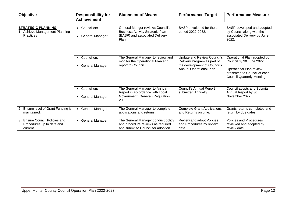| Objective                                                                | <b>Responsibility for</b><br><b>Achievement</b>                 | <b>Statement of Means</b>                                                                                              | <b>Performance Target</b>                                                                                              | <b>Performance Measure</b>                                                                                                                              |
|--------------------------------------------------------------------------|-----------------------------------------------------------------|------------------------------------------------------------------------------------------------------------------------|------------------------------------------------------------------------------------------------------------------------|---------------------------------------------------------------------------------------------------------------------------------------------------------|
| <b>STRATEGIC PLANNING</b><br>1. Achieve Management Planning<br>Practices | Councillors<br>$\bullet$<br><b>General Manager</b><br>$\bullet$ | General Manger reviews Council's<br><b>Business Activity Strategic Plan</b><br>(BASP) and associated Delivery<br>Plan. | BASP developed for the ten<br>period 2022-2032.                                                                        | BASP developed and adopted<br>by Council along with the<br>associated Delivery by June<br>2022.                                                         |
|                                                                          | Councillors<br>$\bullet$<br><b>General Manager</b><br>$\bullet$ | The General Manager to review and<br>monitor the Operational Plan and<br>report to Council.                            | Update and Review Council's<br>Delivery Program as part of<br>the development of Council's<br>Annual Operational Plan. | Operational Plan adopted by<br>Council by 30 June 2022.<br>Operational Plan review<br>presented to Council at each<br><b>Council Quarterly Meeting.</b> |
|                                                                          | Councillors<br>$\bullet$<br>General Manager<br>$\bullet$        | The General Manager to Annual<br>Report in accordance with Local<br>Government (General) Regulation<br>2005            | <b>Council's Annual Report</b><br>submitted Annually                                                                   | Council adopts and Submits<br>Annual Report by 30<br>November 2022.                                                                                     |
| 2. Ensure level of Grant Funding is<br>maintained.                       | <b>General Manager</b><br>$\bullet$                             | The General Manager to complete<br>applications and returns.                                                           | <b>Complete Grant Applications</b><br>and Returns on time.                                                             | Grants returns completed and<br>return by due dates.                                                                                                    |
| 3. Ensure Council Policies and<br>Procedures up to date and<br>current.  | <b>General Manager</b><br>$\bullet$                             | The General Manager conduct policy<br>and procedure reviews as required<br>and submit to Council for adoption.         | Review and adopt Policies<br>and Procedures by review<br>date.                                                         | Policies and Procedures<br>reviewed and adopted by<br>review date.                                                                                      |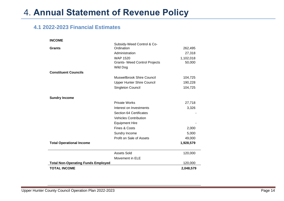# <span id="page-13-0"></span>4. **Annual Statement of Revenue Policy**

## <span id="page-13-1"></span>**4.1 2022-2023 Financial Estimates**

| <b>INCOME</b>                             |                                      |           |
|-------------------------------------------|--------------------------------------|-----------|
|                                           | Subsidy-Weed Control & Co-           |           |
| <b>Grants</b>                             | Ordination                           | 262,495   |
|                                           | Administration                       | 27,318    |
|                                           | <b>WAP 1520</b>                      | 1,102,018 |
|                                           | <b>Grants- Weed Control Projects</b> | 50,000    |
|                                           | <b>Wild Dog</b>                      |           |
| <b>Constituent Councils</b>               |                                      |           |
|                                           | Muswellbrook Shire Council           | 104,725   |
|                                           | <b>Upper Hunter Shire Council</b>    | 190,228   |
|                                           | Singleton Council                    | 104,725   |
|                                           |                                      |           |
| <b>Sundry Income</b>                      |                                      |           |
|                                           | <b>Private Works</b>                 | 27,718    |
|                                           | Interest on Investments              | 3,326     |
|                                           | <b>Section 64 Certificates</b>       |           |
|                                           | <b>Vehicles Contribution</b>         |           |
|                                           | <b>Equipment Hire</b>                |           |
|                                           | Fines & Costs                        | 2,000     |
|                                           | Sundry Income                        | 5,000     |
|                                           | Profit on Sale of Assets             | 49,000    |
| <b>Total Operational Income</b>           |                                      | 1,928,579 |
|                                           |                                      |           |
|                                           | <b>Assets Sold</b>                   | 120,000   |
|                                           | Movement in ELE                      |           |
| <b>Total Non-Operating Funds Employed</b> |                                      | 120,000   |
| <b>TOTAL INCOME</b>                       |                                      | 2,048,579 |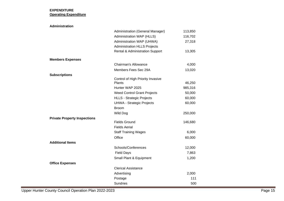### **EXPENDITURE Operating Expenditure**

| <b>Administration</b>               |                                             |         |
|-------------------------------------|---------------------------------------------|---------|
|                                     | Administration (General Manager)            | 113,850 |
|                                     | Administration WAP (HLLS)                   | 116,702 |
|                                     | Administration WAP (UHWA)                   | 27,318  |
|                                     | <b>Administration HLLS Projects</b>         |         |
|                                     | <b>Rental &amp; Administration Support</b>  | 13,305  |
| <b>Members Expenses</b>             |                                             |         |
|                                     | Chairman's Allowance                        | 4,000   |
|                                     | Members Fees Sec 29A                        | 13,020  |
| <b>Subscriptions</b>                |                                             |         |
|                                     | Control of High Priority Invasive<br>Plants | 46,250  |
|                                     | Hunter WAP 2025                             | 985,316 |
|                                     | <b>Weed Control Grant Projects</b>          | 50,000  |
|                                     | <b>HLLS - Strategic Projects</b>            | 60,000  |
|                                     | <b>UHWA - Strategic Projects</b>            | 60,000  |
|                                     | <b>Broom</b>                                |         |
|                                     | <b>Wild Dog</b>                             | 250,000 |
| <b>Private Property Inspections</b> |                                             |         |
|                                     | <b>Fields Ground</b>                        | 146,680 |
|                                     | <b>Fields Aerial</b>                        |         |
|                                     | <b>Staff Training Wages</b>                 | 6,000   |
|                                     | Office                                      | 60,000  |
| <b>Additional Items</b>             |                                             |         |
|                                     | Schools/Conferences                         | 12,000  |
|                                     | <b>Field Days</b>                           | 7,863   |
|                                     | Small Plant & Equipment                     | 1,200   |
| <b>Office Expenses</b>              |                                             |         |
|                                     | <b>Clerical Assistance</b>                  |         |
|                                     | Advertising                                 | 2,000   |
|                                     | Postage                                     | 111     |
|                                     | <b>Sundries</b>                             | 500     |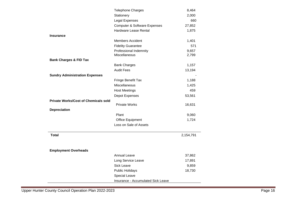|                                             | <b>Telephone Charges</b>                | 8,464     |
|---------------------------------------------|-----------------------------------------|-----------|
|                                             | Stationery                              | 2,000     |
|                                             | Legal Expenses                          | 660       |
|                                             | <b>Computer &amp; Software Expenses</b> | 27,852    |
|                                             | Hardware Lease Rental                   | 1,875     |
| <b>Insurance</b>                            |                                         |           |
|                                             | <b>Members Accident</b>                 | 1,401     |
|                                             | <b>Fidelity Guarantee</b>               | 571       |
|                                             | Professional Indemnity                  | 9,657     |
|                                             | Miscellaneous                           | 2,799     |
| <b>Bank Charges &amp; FID Tax</b>           |                                         |           |
|                                             | <b>Bank Charges</b>                     | 1,157     |
|                                             | <b>Audit Fees</b>                       | 13,194    |
| <b>Sundry Administration Expenses</b>       |                                         |           |
|                                             | Fringe Benefit Tax                      | 1,188     |
|                                             | Miscellaneous                           | 1,425     |
|                                             | <b>Host Meetings</b>                    | 459       |
|                                             | Depot Expenses                          | 53,561    |
| <b>Private Works/Cost of Chemicals sold</b> |                                         |           |
|                                             | <b>Private Works</b>                    | 16,631    |
| <b>Depreciation</b>                         |                                         |           |
|                                             | Plant                                   | 9,060     |
|                                             | Office Equipment                        | 1,724     |
|                                             | Loss on Sale of Assets                  |           |
| <b>Total</b>                                |                                         | 2,154,791 |
| <b>Employment Overheads</b>                 |                                         |           |
|                                             | <b>Annual Leave</b>                     | 37,862    |
|                                             | Long Service Leave                      | 17,891    |
|                                             | <b>Sick Leave</b>                       | 9,859     |
|                                             | <b>Public Holidays</b>                  | 18,730    |
|                                             | Special Leave                           |           |
|                                             | Insurance - Accumulated Sick Leave      |           |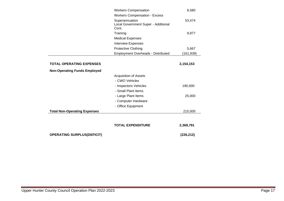| <b>OPERATING SURPLUS(DEFICIT)</b>   |                                                       | (226, 212) |
|-------------------------------------|-------------------------------------------------------|------------|
|                                     | <b>TOTAL EXPENDITURE</b>                              | 2,369,791  |
|                                     |                                                       |            |
| <b>Total Non-Operating Expenses</b> |                                                       | 215,000    |
|                                     | - Office Equipment                                    |            |
|                                     | - Computer Hardware                                   |            |
|                                     | - Large Plant Items                                   | 25,000     |
|                                     | - Small Plant Items                                   |            |
|                                     | - Inspectors Vehicles                                 | 190,000    |
|                                     | - CWO Vehicles                                        |            |
|                                     | <b>Acquisition of Assets</b>                          |            |
| <b>Non-Operating Funds Employed</b> |                                                       |            |
| <b>TOTAL OPERATING EXPENSES</b>     |                                                       | 2,154,153  |
|                                     |                                                       |            |
|                                     | <b>Employment Overheads - Distributed</b>             | (161, 939) |
|                                     | <b>Protective Clothing</b>                            | 5,667      |
|                                     | <b>Interview Expenses</b>                             |            |
|                                     | <b>Medical Expenses</b>                               |            |
|                                     | Cont.<br>Training                                     | 9,877      |
|                                     | Superannuation<br>Local Government Super - Additional | 53,474     |
|                                     | <b>Workers Compensation - Excess</b>                  |            |
|                                     | <b>Workers Compensation</b>                           | 8,580      |
|                                     |                                                       |            |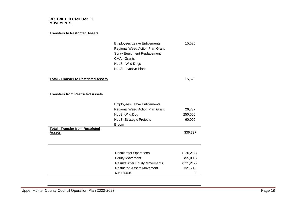#### **RESTRICTED CASH ASSET MOVEMENTS**

### **Transfers to Restricted Assets**

| <b>Employees Leave Entitlements</b> | 15,525 |
|-------------------------------------|--------|
| Regional Weed Action Plan Grant     |        |
| <b>Spray Equipment Replacement</b>  |        |
| CMA - Grants                        |        |
| <b>HLLS - Wild Dogs</b>             |        |
| <b>HLLS- Invasive Plant</b>         |        |

### **Total - Transfer to Restricted Assets** 15,525

### **Transfers from Restricted Assets**

|                                         | <b>Employees Leave Entitlements</b> |         |
|-----------------------------------------|-------------------------------------|---------|
|                                         | Regional Weed Action Plan Grant     | 26,737  |
|                                         | <b>HLLS -Wild Dog</b>               | 250,000 |
|                                         | <b>HLLS- Strategic Projects</b>     | 60,000  |
|                                         | <b>Broom</b>                        |         |
| <b>Total - Transfer from Restricted</b> |                                     |         |
| Assets                                  |                                     | 336,737 |
|                                         |                                     |         |
|                                         |                                     |         |

| <b>Result after Operations</b>        | (226, 212) |
|---------------------------------------|------------|
| <b>Equity Movement</b>                | (95,000)   |
| <b>Results After Equity Movements</b> | (321, 212) |
| <b>Restricted Assets Movement</b>     | 321,212    |
| <b>Net Result</b>                     |            |

 $\overline{a}$